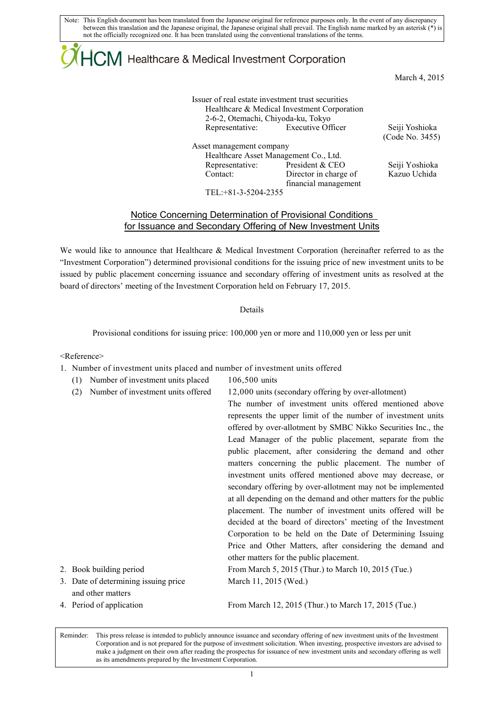Note: This English document has been translated from the Japanese original for reference purposes only. In the event of any discrepancy between this translation and the Japanese original, the Japanese original shall prevail. The English name marked by an asterisk (\*) is not the officially recognized one. It has been translated using the conventional translations of the terms.

## $\mathsf{ICM}\xspace$  Healthcare & Medical Investment Corporation

March 4, 2015

| Issuer of real estate investment trust securities<br>2-6-2, Otemachi, Chiyoda-ku, Tokyo | Healthcare & Medical Investment Corporation |  |
|-----------------------------------------------------------------------------------------|---------------------------------------------|--|
| Representative:                                                                         | <b>Executive Officer</b>                    |  |
|                                                                                         |                                             |  |
| Asset management company                                                                |                                             |  |
| Healthcare Asset Management Co., Ltd.                                                   |                                             |  |
| Representative:                                                                         | President & CEO                             |  |
| Contact:                                                                                | Director in charge of                       |  |

financial management

 (Code No. 3455) Seiji Yoshioka

Kazuo Uchida

Seiji Yoshioka

TEL:+81-3-5204-2355

## Notice Concerning Determination of Provisional Conditions for Issuance and Secondary Offering of New Investment Units

We would like to announce that Healthcare & Medical Investment Corporation (hereinafter referred to as the "Investment Corporation") determined provisional conditions for the issuing price of new investment units to be issued by public placement concerning issuance and secondary offering of investment units as resolved at the board of directors' meeting of the Investment Corporation held on February 17, 2015.

## Details

Provisional conditions for issuing price: 100,000 yen or more and 110,000 yen or less per unit

<Reference>

- 1. Number of investment units placed and number of investment units offered
	- (1) Number of investment units placed 106,500 units (2) Number of investment units offered 12,000 units (secondary offering by over-allotment)

|                                      | The number of investment units offered mentioned above          |
|--------------------------------------|-----------------------------------------------------------------|
|                                      | represents the upper limit of the number of investment units    |
|                                      | offered by over-allotment by SMBC Nikko Securities Inc., the    |
|                                      | Lead Manager of the public placement, separate from the         |
|                                      | public placement, after considering the demand and other        |
|                                      | matters concerning the public placement. The number of          |
|                                      | investment units offered mentioned above may decrease, or       |
|                                      | secondary offering by over-allotment may not be implemented     |
|                                      | at all depending on the demand and other matters for the public |
|                                      | placement. The number of investment units offered will be       |
|                                      | decided at the board of directors' meeting of the Investment    |
|                                      | Corporation to be held on the Date of Determining Issuing       |
|                                      | Price and Other Matters, after considering the demand and       |
|                                      | other matters for the public placement.                         |
| 2. Book building period              | From March 5, 2015 (Thur.) to March 10, 2015 (Tue.)             |
| 3. Date of determining issuing price | March 11, 2015 (Wed.)                                           |
| and other matters                    |                                                                 |
| 4. Period of application             | From March 12, 2015 (Thur.) to March 17, 2015 (Tue.)            |
|                                      |                                                                 |

Reminder: This press release is intended to publicly announce issuance and secondary offering of new investment units of the Investment Corporation and is not prepared for the purpose of investment solicitation. When investing, prospective investors are advised to make a judgment on their own after reading the prospectus for issuance of new investment units and secondary offering as well as its amendments prepared by the Investment Corporation.